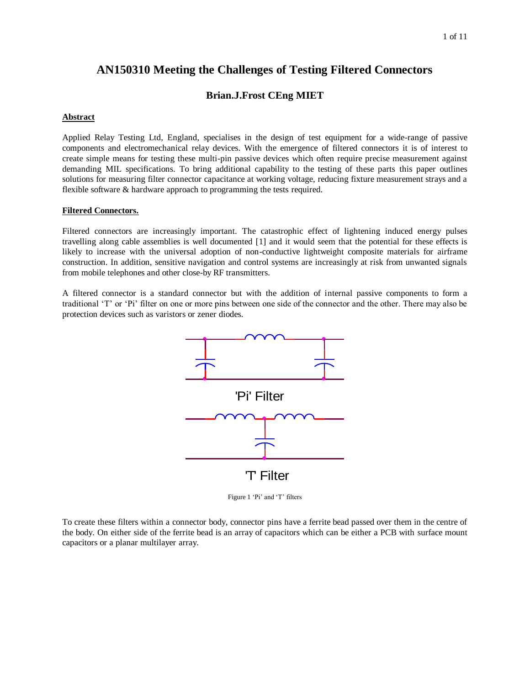# **AN150310 Meeting the Challenges of Testing Filtered Connectors**

## **Brian.J.Frost CEng MIET**

#### **Abstract**

Applied Relay Testing Ltd, England, specialises in the design of test equipment for a wide-range of passive components and electromechanical relay devices. With the emergence of filtered connectors it is of interest to create simple means for testing these multi-pin passive devices which often require precise measurement against demanding MIL specifications. To bring additional capability to the testing of these parts this paper outlines solutions for measuring filter connector capacitance at working voltage, reducing fixture measurement strays and a flexible software & hardware approach to programming the tests required.

#### **Filtered Connectors.**

Filtered connectors are increasingly important. The catastrophic effect of lightening induced energy pulses travelling along cable assemblies is well documented [1] and it would seem that the potential for these effects is likely to increase with the universal adoption of non-conductive lightweight composite materials for airframe construction. In addition, sensitive navigation and control systems are increasingly at risk from unwanted signals from mobile telephones and other close-by RF transmitters.

A filtered connector is a standard connector but with the addition of internal passive components to form a traditional "T" or "Pi" filter on one or more pins between one side of the connector and the other. There may also be protection devices such as varistors or zener diodes.



Figure 1 'Pi' and 'T' filters

To create these filters within a connector body, connector pins have a ferrite bead passed over them in the centre of the body. On either side of the ferrite bead is an array of capacitors which can be either a PCB with surface mount capacitors or a planar multilayer array.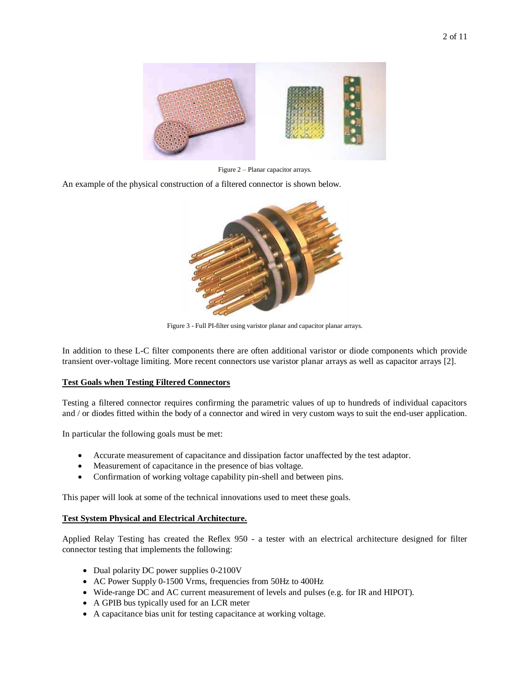

Figure 2 – Planar capacitor arrays.

An example of the physical construction of a filtered connector is shown below.



Figure 3 - Full PI-filter using varistor planar and capacitor planar arrays.

In addition to these L-C filter components there are often additional varistor or diode components which provide transient over-voltage limiting. More recent connectors use varistor planar arrays as well as capacitor arrays [2].

#### **Test Goals when Testing Filtered Connectors**

Testing a filtered connector requires confirming the parametric values of up to hundreds of individual capacitors and / or diodes fitted within the body of a connector and wired in very custom ways to suit the end-user application.

In particular the following goals must be met:

- Accurate measurement of capacitance and dissipation factor unaffected by the test adaptor.
- Measurement of capacitance in the presence of bias voltage.
- Confirmation of working voltage capability pin-shell and between pins.

This paper will look at some of the technical innovations used to meet these goals.

### **Test System Physical and Electrical Architecture.**

Applied Relay Testing has created the Reflex 950 - a tester with an electrical architecture designed for filter connector testing that implements the following:

- Dual polarity DC power supplies 0-2100V
- AC Power Supply 0-1500 Vrms, frequencies from 50Hz to 400Hz
- Wide-range DC and AC current measurement of levels and pulses (e.g. for IR and HIPOT).
- A GPIB bus typically used for an LCR meter
- A capacitance bias unit for testing capacitance at working voltage.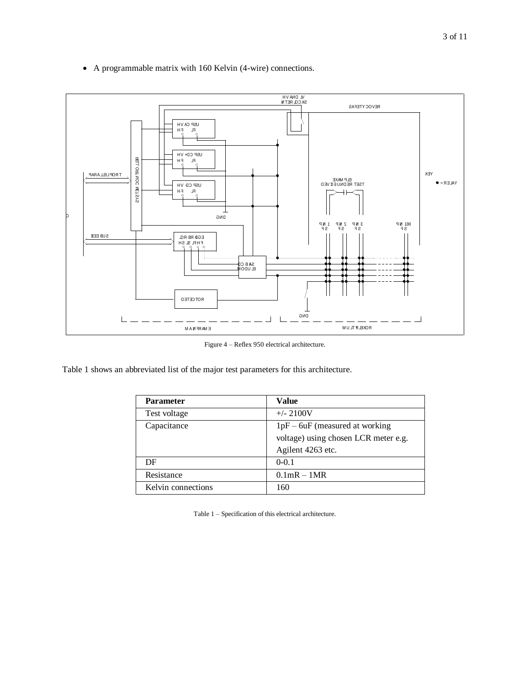

A programmable matrix with 160 Kelvin (4-wire) connections.

Figure 4 – Reflex 950 electrical architecture.

Table 1 shows an abbreviated list of the major test parameters for this architecture.

| <b>Parameter</b>   | <b>Value</b>                         |
|--------------------|--------------------------------------|
| Test voltage       | $+/- 2100V$                          |
| Capacitance        | $1pF - 6uF$ (measured at working     |
|                    | voltage) using chosen LCR meter e.g. |
|                    | Agilent 4263 etc.                    |
| DF                 | $0 - 0.1$                            |
| Resistance         | $0.1$ mR $-1$ MR                     |
| Kelvin connections | 160                                  |

Table 1 – Specification of this electrical architecture.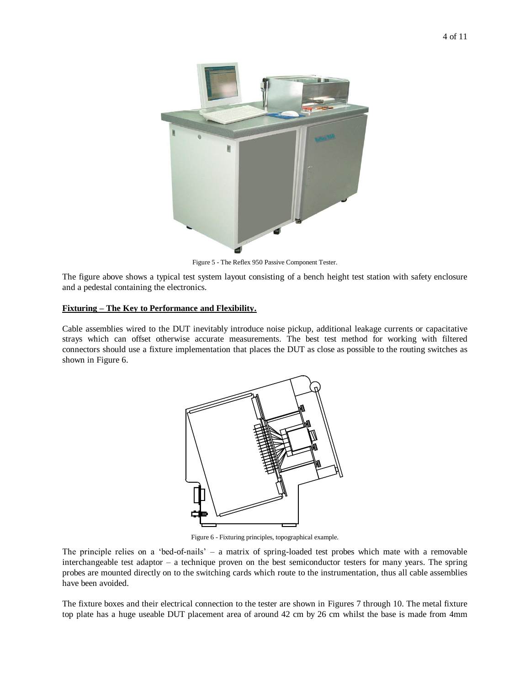

Figure 5 - The Reflex 950 Passive Component Tester.

The figure above shows a typical test system layout consisting of a bench height test station with safety enclosure and a pedestal containing the electronics.

### **Fixturing – The Key to Performance and Flexibility.**

Cable assemblies wired to the DUT inevitably introduce noise pickup, additional leakage currents or capacitative strays which can offset otherwise accurate measurements. The best test method for working with filtered connectors should use a fixture implementation that places the DUT as close as possible to the routing switches as shown in Figure 6.



Figure 6 - Fixturing principles, topographical example.

The principle relies on a "bed-of-nails" – a matrix of spring-loaded test probes which mate with a removable interchangeable test adaptor – a technique proven on the best semiconductor testers for many years. The spring probes are mounted directly on to the switching cards which route to the instrumentation, thus all cable assemblies have been avoided.

The fixture boxes and their electrical connection to the tester are shown in Figures 7 through 10. The metal fixture top plate has a huge useable DUT placement area of around 42 cm by 26 cm whilst the base is made from 4mm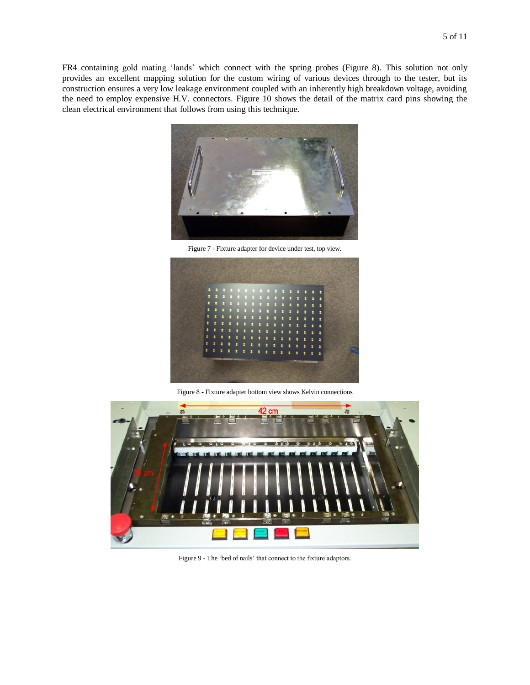FR4 containing gold mating "lands" which connect with the spring probes (Figure 8). This solution not only provides an excellent mapping solution for the custom wiring of various devices through to the tester, but its construction ensures a very low leakage environment coupled with an inherently high breakdown voltage, avoiding the need to employ expensive H.V. connectors. Figure 10 shows the detail of the matrix card pins showing the clean electrical environment that follows from using this technique.



Figure 7 - Fixture adapter for device under test, top view.



Figure 8 - Fixture adapter bottom view shows Kelvin connections



Figure 9 - The "bed of nails" that connect to the fixture adaptors.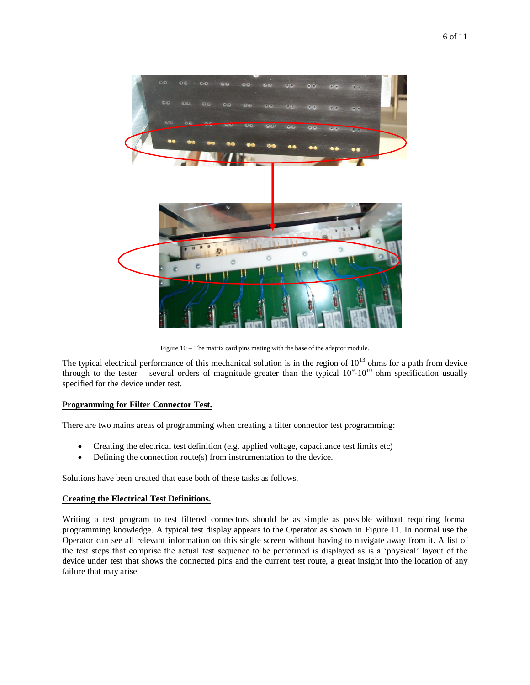

Figure 10 – The matrix card pins mating with the base of the adaptor module.

The typical electrical performance of this mechanical solution is in the region of  $10^{13}$  ohms for a path from device through to the tester – several orders of magnitude greater than the typical  $10^9$ - $10^{10}$  ohm specification usually specified for the device under test.

#### **Programming for Filter Connector Test.**

There are two mains areas of programming when creating a filter connector test programming:

- Creating the electrical test definition (e.g. applied voltage, capacitance test limits etc)
- Defining the connection route(s) from instrumentation to the device.

Solutions have been created that ease both of these tasks as follows.

#### **Creating the Electrical Test Definitions.**

Writing a test program to test filtered connectors should be as simple as possible without requiring formal programming knowledge. A typical test display appears to the Operator as shown in Figure 11. In normal use the Operator can see all relevant information on this single screen without having to navigate away from it. A list of the test steps that comprise the actual test sequence to be performed is displayed as is a "physical" layout of the device under test that shows the connected pins and the current test route, a great insight into the location of any failure that may arise.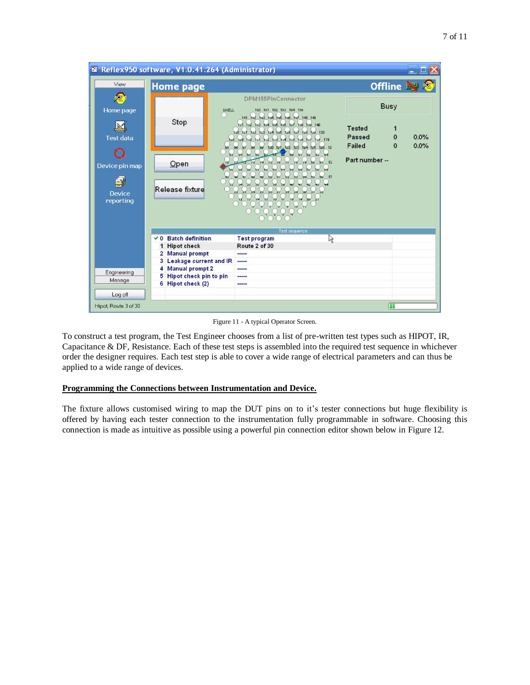

Figure 11 - A typical Operator Screen.

To construct a test program, the Test Engineer chooses from a list of pre-written test types such as HIPOT, IR, Capacitance & DF, Resistance. Each of these test steps is assembled into the required test sequence in whichever order the designer requires. Each test step is able to cover a wide range of electrical parameters and can thus be applied to a wide range of devices.

## **Programming the Connections between Instrumentation and Device.**

The fixture allows customised wiring to map the DUT pins on to it's tester connections but huge flexibility is offered by having each tester connection to the instrumentation fully programmable in software. Choosing this connection is made as intuitive as possible using a powerful pin connection editor shown below in Figure 12.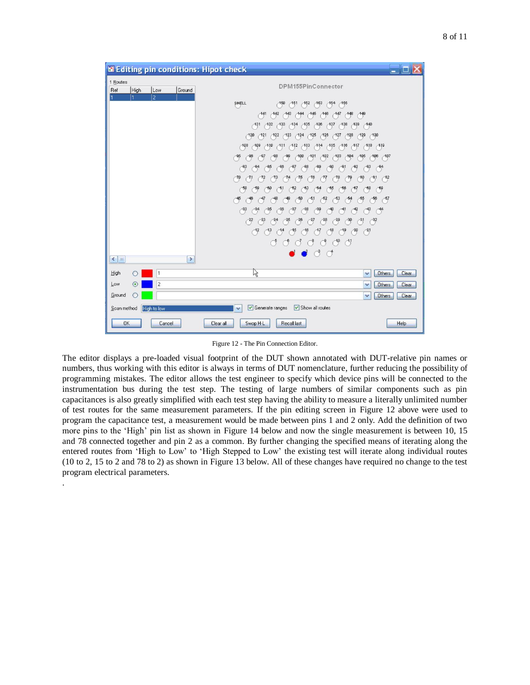| $ \Box$ $\times$<br><b>SE Editing pin conditions: Hipot check</b>                                                                                                                                                                                                                                                                                                                                                                                                                                                                                                                                                                                                                                                                                                                                                                                                                                                                                                                                                                                                                                                                                         |  |
|-----------------------------------------------------------------------------------------------------------------------------------------------------------------------------------------------------------------------------------------------------------------------------------------------------------------------------------------------------------------------------------------------------------------------------------------------------------------------------------------------------------------------------------------------------------------------------------------------------------------------------------------------------------------------------------------------------------------------------------------------------------------------------------------------------------------------------------------------------------------------------------------------------------------------------------------------------------------------------------------------------------------------------------------------------------------------------------------------------------------------------------------------------------|--|
| 1 Routes<br>DPM155PinConnector<br>High<br>Ground<br>Low<br>Ref                                                                                                                                                                                                                                                                                                                                                                                                                                                                                                                                                                                                                                                                                                                                                                                                                                                                                                                                                                                                                                                                                            |  |
| $\overline{c}$<br>$\mathbf{1}$<br>SHELL<br>$-150 - 151$<br>152<br>$^{463}$<br>154<br>755<br>149<br>141<br>A42<br>443<br>$-147$<br>448<br>$-144$<br>146<br>146<br>$A^{31}$<br>(132)<br>$A_1^3A$<br>$-135$<br>A36<br>$-137$<br>$-138$<br>$^{439}$<br>$A^{33}$<br>440<br>120<br>125<br>(127)<br>138<br>129<br>130<br>121<br>123<br>124<br>126<br>122<br>112<br>$^{413}$<br>$\bigcirc$ <sup>108</sup><br>109<br>$^{410}$<br>115<br>116<br>A17<br>118<br>A14<br>$\bigtriangleup$ <sup>19</sup><br>$-111$<br>$^{403}$<br>A05<br>$^{406}$<br>$^{400}$<br>401<br>$^{402}$<br>$^{404}$<br>$^{407}$<br>$\bigcap_{i=1}^{n}$<br>$\bigcirc$ <sup>96</sup><br>$\sim$<br>$\left( \frac{-83}{2} \right)$<br>$-65$<br>$-86$<br>$-87$<br>$-88$<br>69<br>$-92$<br>$^{-93}$<br>84<br>$\bigcirc$ <sup>94</sup><br>$\rightarrow$<br>$\bigcap$<br>(79<br>$\bigcap_{n=1}^{\infty}$<br>-73<br>75<br>-78<br>$^{82}$<br>( 71<br>-72<br>-74<br>78<br>79<br>$\bigcirc$<br>-59<br>$\rightarrow$<br>$-62$<br>$-63$<br>64<br>$-65$<br>-66<br>$\mathcal{B}$<br>$\rightarrow$<br>$\rightarrow$<br>$-61$                                                                                     |  |
| $\sim$<br>$-52$<br>$\frac{-55}{2}$<br>$\frac{-56}{5}$<br>$\rightarrow$<br>$\sim$ <sup>51</sup><br>$-53$<br>$\frac{64}{ }$<br>$\epsilon$ <sup>57</sup><br>$\bigcirc^3$<br>$\rightarrow$<br>$^{34}$<br>$\rightarrow$<br>$\rightarrow$<br>$\sqrt{37}$<br>$\rightarrow$<br>$-40$<br>$-42$<br>$\bigtriangleup^3$<br>$-41$<br>$\bigcap_{i=1}^{4}$<br>$\beta$<br>$\bigcirc^3?$<br>$\binom{22}{1}$<br>$(3^3)$<br>$^{24}$<br>$^{25}$<br>$^{26}$<br>$\frac{28}{2}$<br>$\left( \frac{29}{2} \right)$<br>$\bigcap_{i=1}^{3}$<br>$^{27}$<br>$\bigcirc$ <sup>3</sup><br>$\bigcirc$ <sup>8</sup><br>$\bigcirc^2$<br>$\bigcirc^4$<br>$\bigcirc$ <sup>16</sup><br>$\bigcirc$ <sup>9</sup><br>$\binom{20}{ }$<br>$\bigcirc$ <sup>15</sup><br>$\bigcirc$<br>$^{21}$<br>$Q_1 Q_2 Q_3 Q_4 Q_5 Q_6 Q_7 Q_8 Q_7 Q_8 Q_7 Q_8 Q_7 Q_8 Q_7 Q_8 Q_7 Q_8 Q_7 Q_8 Q_7 Q_8 Q_7 Q_8 Q_7 Q_8 Q_7 Q_8 Q_7 Q_8 Q_7 Q_8 Q_7 Q_8 Q_7 Q_8 Q_7 Q_8 Q_7 Q_8 Q_7 Q_8 Q_7 Q_8 Q_7 Q_8 Q_7 Q_8 Q_7 Q_8 Q_7 Q_8 Q_7 Q_8 Q_7 Q_8 Q_7 Q_8 Q_7 Q_8 Q_7 Q_8 Q_7 Q_8 Q_7 Q_8 Q_7 Q_8 Q_7 Q_8 Q_7 Q_8 Q_7 Q$<br>$\bigcirc$<br>්<br>$\bullet$ $\bullet$ $\circ$ $\circ$<br>$\,$<br>$\left\langle \right $ = |  |
| High<br>ド<br>Others<br>1<br>Clear<br>$\checkmark$                                                                                                                                                                                                                                                                                                                                                                                                                                                                                                                                                                                                                                                                                                                                                                                                                                                                                                                                                                                                                                                                                                         |  |
| $\overline{c}$<br>Low<br>$\circ$<br><b>Others</b><br>Clear<br>$\checkmark$                                                                                                                                                                                                                                                                                                                                                                                                                                                                                                                                                                                                                                                                                                                                                                                                                                                                                                                                                                                                                                                                                |  |
| Ground<br><b>Others</b><br>Clear<br>$\checkmark$                                                                                                                                                                                                                                                                                                                                                                                                                                                                                                                                                                                                                                                                                                                                                                                                                                                                                                                                                                                                                                                                                                          |  |
| Show all routes<br>Generate ranges<br>High to low<br>Scan method<br>$\checkmark$                                                                                                                                                                                                                                                                                                                                                                                                                                                                                                                                                                                                                                                                                                                                                                                                                                                                                                                                                                                                                                                                          |  |
| OK<br><b>Recall last</b><br>Cancel<br>Swop H-L<br>Help<br>Clear all                                                                                                                                                                                                                                                                                                                                                                                                                                                                                                                                                                                                                                                                                                                                                                                                                                                                                                                                                                                                                                                                                       |  |

Figure 12 - The Pin Connection Editor.

The editor displays a pre-loaded visual footprint of the DUT shown annotated with DUT-relative pin names or numbers, thus working with this editor is always in terms of DUT nomenclature, further reducing the possibility of programming mistakes. The editor allows the test engineer to specify which device pins will be connected to the instrumentation bus during the test step. The testing of large numbers of similar components such as pin capacitances is also greatly simplified with each test step having the ability to measure a literally unlimited number of test routes for the same measurement parameters. If the pin editing screen in Figure 12 above were used to program the capacitance test, a measurement would be made between pins 1 and 2 only. Add the definition of two more pins to the 'High' pin list as shown in Figure 14 below and now the single measurement is between 10, 15 and 78 connected together and pin 2 as a common. By further changing the specified means of iterating along the entered routes from "High to Low" to "High Stepped to Low" the existing test will iterate along individual routes (10 to 2, 15 to 2 and 78 to 2) as shown in Figure 13 below. All of these changes have required no change to the test program electrical parameters.

.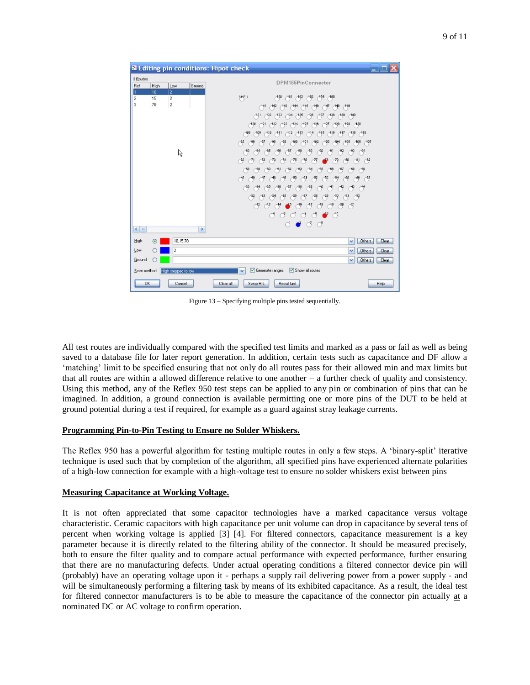| X Editing pin conditions: Hipot check                                                                                                                                              | $ \Box$ $\times$                                                                                                                                                                                                                                                                                                                                                                                                                                                                                                                                                                                                                                                                                                                                                                                                                                                                                                                                                                                                                                                                                                                                                                                                                                                                                                                                                                                                                                                                                                                                                                                                                                                                                                                                                                                                                                                                                                               |
|------------------------------------------------------------------------------------------------------------------------------------------------------------------------------------|--------------------------------------------------------------------------------------------------------------------------------------------------------------------------------------------------------------------------------------------------------------------------------------------------------------------------------------------------------------------------------------------------------------------------------------------------------------------------------------------------------------------------------------------------------------------------------------------------------------------------------------------------------------------------------------------------------------------------------------------------------------------------------------------------------------------------------------------------------------------------------------------------------------------------------------------------------------------------------------------------------------------------------------------------------------------------------------------------------------------------------------------------------------------------------------------------------------------------------------------------------------------------------------------------------------------------------------------------------------------------------------------------------------------------------------------------------------------------------------------------------------------------------------------------------------------------------------------------------------------------------------------------------------------------------------------------------------------------------------------------------------------------------------------------------------------------------------------------------------------------------------------------------------------------------|
| 3 Routes<br>High<br>Ref<br>Low<br>Ground<br>$\overline{c}$<br>10<br>1<br>$\overline{c}$<br>$\overline{\mathbf{c}}$<br>15<br>$\overline{c}$<br>$\overline{3}$<br>78<br>$\mathbb{Z}$ | DPM155PinConnector<br>SHELL<br>A50<br>161<br>$-152$<br>163<br>154<br>155<br>141<br>$-142$<br>143<br>147<br>148<br>149<br>$-144$<br>$-146$<br>$-145$<br>$A^{31}$<br>$+35$<br>$+37$<br>$-138$<br>$-132$<br>A33<br>$+34$<br>436<br>$+38$<br>$-140$<br>(120)<br>(121)<br>125<br>(127)<br>(128)<br>129<br>(130)<br>122<br>123<br>124<br>126<br>$^{408}$<br>(109)<br>$-113$<br>115<br>A16<br>A17<br>A10<br>$^{412}$<br>A14<br>A18<br>A19<br>A11<br>A05<br>(108)<br>$-100$<br>401<br>A02<br>A03<br>A04<br>$\sqrt{95}$<br>$\bigcap_{n=1}^{\infty}$<br>A07<br>$\sqrt{2}$<br>$\rightarrow$<br>-88<br>$^{-83}$<br>-88<br>$-82$<br>$-84$<br>$-85$<br>$-86$<br>$-87$<br>$-69$<br>-90<br>$-9,1$<br>$-93$<br>$-94$<br>$\rightarrow$<br>$\bigcap_{n=1}^{\infty}$<br>70<br>$\bigcap$<br>$-74$<br>$\sqrt{75}$<br>78<br>-79<br>$^{82}$<br>(72<br>$\sqrt{73}$<br>78<br>-77<br>$\bigcirc$<br>69<br>$^{69}$<br>$\bigcap$<br>$^{62}$<br>63<br>64<br>$\bigcirc$<br>66<br>$\binom{67}{ }$<br>$\bigcap_{i=1}^{68}$<br>61<br>$\bigcap_{i=1}^{45}$<br>$\bigtriangleup^4$<br>$\frac{-54}{2}$<br>$\bigtriangleup$<br>$\bigcirc$ <sup>56</sup><br>$\bigcap_{\infty}$<br>$\binom{47}{ }$<br>$\bigtriangleup^4$<br>$\rightarrow$<br>$\bigcirc$<br>$\left( \frac{-52}{2} \right)$<br>$\bigcap_{i=1}^{53}$<br>$\sim$<br>$\bigcap_{i=1}^{38}$<br>$\binom{-33}{1}$<br>$\bigcirc$ <sup>35</sup><br>$^{36}$<br>$\bigcap_{i=1}^{3}$<br>$\epsilon$ <sup>39</sup><br>$\bigcirc^3$<br>$\curvearrowright$<br>$^{-42}$<br>$\bigcap$<br>$\bigcap_{i=1}^{41}$<br>$\bigcap_{\alpha=1}^{\infty}$<br>(32)<br>$\binom{23}{2}$<br>$\binom{24}{ }$<br>$^{28}$<br>(39)<br>$\rightarrow$<br>$\binom{31}{3}$<br>$\binom{-32}{7}$<br>$\rightarrow$<br>$^{26}$<br>$\binom{27}{ }$<br>$\bigcap^4$<br>$\bigcap_{i=1}^{n}$<br>$\bigcap$<br>$\binom{47}{1}$<br>$\bigcirc^{\hspace{-3.1mm}(\mathfrak{g})}$<br>$\bigcap_{i=1}^{n}$<br>$^{20}$<br>$\binom{21}{2}$<br>$\bigcap_{i=1}^{n}$<br>-15 |
| $\left\langle \right $ m<br>$\,$<br>High<br>10.15.78<br>$\odot$<br>Low<br>$\overline{\mathbf{c}}$<br>Ground<br>Scan method<br>High stepped to low<br>OK<br>Cancel                  | $\subset \mathcal{S}$<br>ි <i>්</i> ් ්<br>$\bigcirc$<br>$\bigcirc$<br>$\circ$ $\bullet$ $\circ$<br>$\sigma$<br>Others<br>Clear<br>$\checkmark$<br>Others<br>$\checkmark$<br>Clear<br>Others<br>Clear<br>$\checkmark$<br>Show all routes<br>$\triangledown$ Generate ranges<br>$\checkmark$<br><b>Recall last</b><br>Swop H-L<br>Help<br>Clear all                                                                                                                                                                                                                                                                                                                                                                                                                                                                                                                                                                                                                                                                                                                                                                                                                                                                                                                                                                                                                                                                                                                                                                                                                                                                                                                                                                                                                                                                                                                                                                             |

Figure 13 – Specifying multiple pins tested sequentially.

All test routes are individually compared with the specified test limits and marked as a pass or fail as well as being saved to a database file for later report generation. In addition, certain tests such as capacitance and DF allow a "matching" limit to be specified ensuring that not only do all routes pass for their allowed min and max limits but that all routes are within a allowed difference relative to one another – a further check of quality and consistency. Using this method, any of the Reflex 950 test steps can be applied to any pin or combination of pins that can be imagined. In addition, a ground connection is available permitting one or more pins of the DUT to be held at ground potential during a test if required, for example as a guard against stray leakage currents.

#### **Programming Pin-to-Pin Testing to Ensure no Solder Whiskers.**

The Reflex 950 has a powerful algorithm for testing multiple routes in only a few steps. A "binary-split" iterative technique is used such that by completion of the algorithm, all specified pins have experienced alternate polarities of a high-low connection for example with a high-voltage test to ensure no solder whiskers exist between pins

#### **Measuring Capacitance at Working Voltage.**

It is not often appreciated that some capacitor technologies have a marked capacitance versus voltage characteristic. Ceramic capacitors with high capacitance per unit volume can drop in capacitance by several tens of percent when working voltage is applied [3] [4]. For filtered connectors, capacitance measurement is a key parameter because it is directly related to the filtering ability of the connector. It should be measured precisely, both to ensure the filter quality and to compare actual performance with expected performance, further ensuring that there are no manufacturing defects. Under actual operating conditions a filtered connector device pin will (probably) have an operating voltage upon it - perhaps a supply rail delivering power from a power supply - and will be simultaneously performing a filtering task by means of its exhibited capacitance. As a result, the ideal test for filtered connector manufacturers is to be able to measure the capacitance of the connector pin actually at a nominated DC or AC voltage to confirm operation.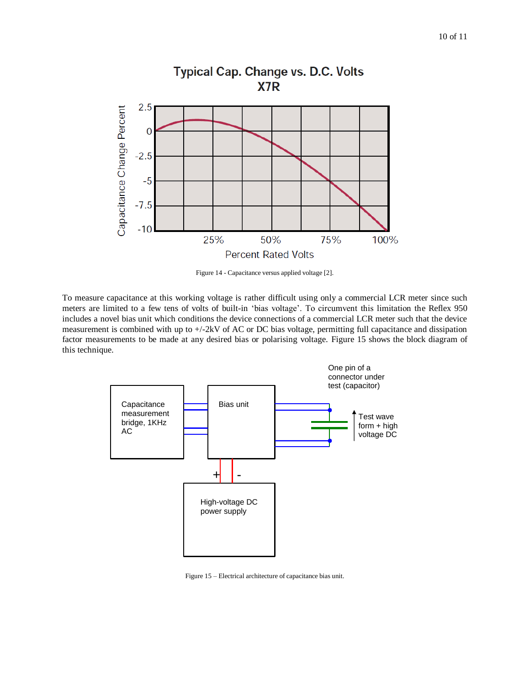

**Typical Cap. Change vs. D.C. Volts** 

Figure 14 - Capacitance versus applied voltage [2].

To measure capacitance at this working voltage is rather difficult using only a commercial LCR meter since such meters are limited to a few tens of volts of built-in "bias voltage". To circumvent this limitation the Reflex 950 includes a novel bias unit which conditions the device connections of a commercial LCR meter such that the device measurement is combined with up to +/-2kV of AC or DC bias voltage, permitting full capacitance and dissipation factor measurements to be made at any desired bias or polarising voltage. Figure 15 shows the block diagram of this technique.



Figure 15 – Electrical architecture of capacitance bias unit.